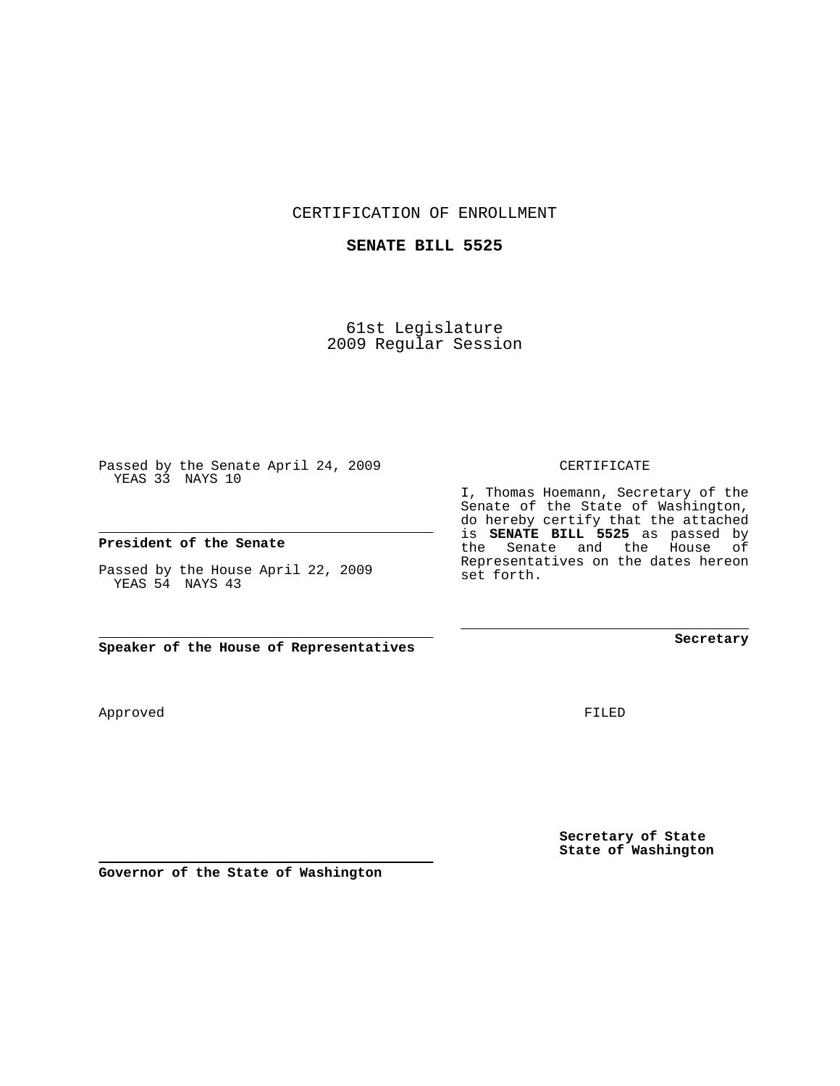CERTIFICATION OF ENROLLMENT

## **SENATE BILL 5525**

61st Legislature 2009 Regular Session

Passed by the Senate April 24, 2009 YEAS 33 NAYS 10

#### **President of the Senate**

Passed by the House April 22, 2009 YEAS 54 NAYS 43

**Speaker of the House of Representatives**

**Governor of the State of Washington**

Approved

FILED

**Secretary of State State of Washington**

**Secretary**

CERTIFICATE

I, Thomas Hoemann, Secretary of the Senate of the State of Washington, do hereby certify that the attached is **SENATE BILL 5525** as passed by the Senate and the House of Representatives on the dates hereon set forth.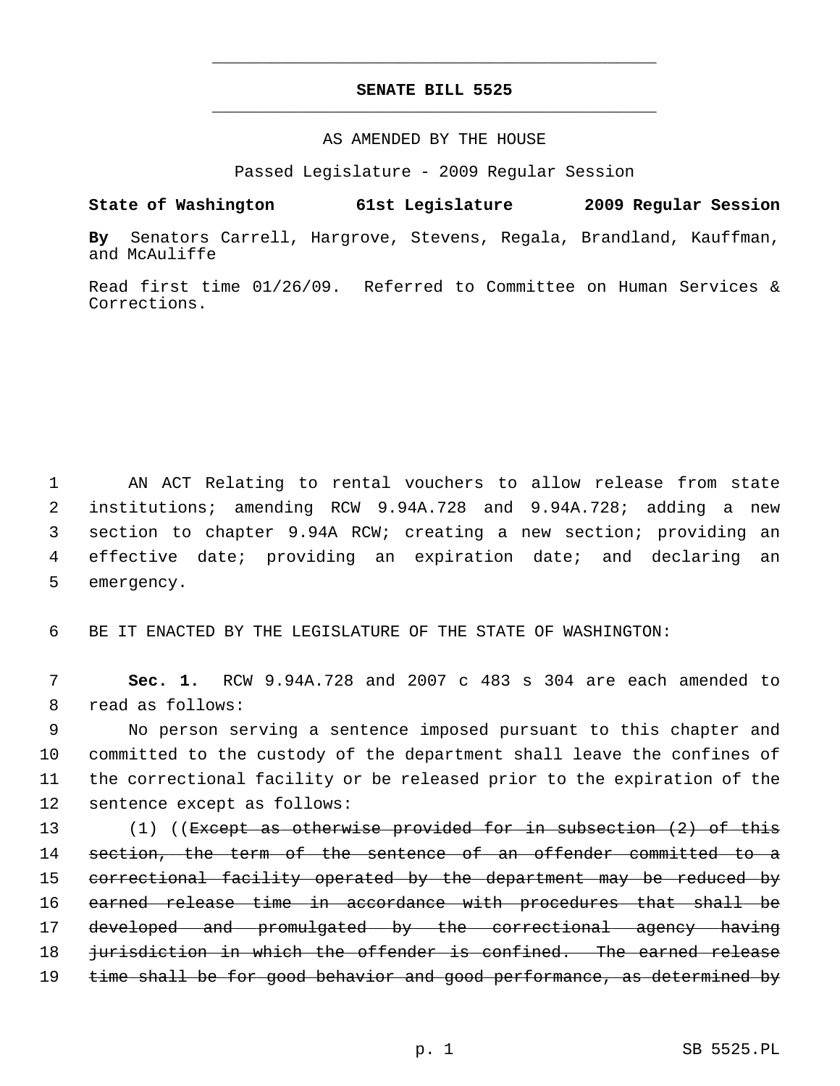# **SENATE BILL 5525** \_\_\_\_\_\_\_\_\_\_\_\_\_\_\_\_\_\_\_\_\_\_\_\_\_\_\_\_\_\_\_\_\_\_\_\_\_\_\_\_\_\_\_\_\_

\_\_\_\_\_\_\_\_\_\_\_\_\_\_\_\_\_\_\_\_\_\_\_\_\_\_\_\_\_\_\_\_\_\_\_\_\_\_\_\_\_\_\_\_\_

### AS AMENDED BY THE HOUSE

Passed Legislature - 2009 Regular Session

## **State of Washington 61st Legislature 2009 Regular Session**

**By** Senators Carrell, Hargrove, Stevens, Regala, Brandland, Kauffman, and McAuliffe

Read first time 01/26/09. Referred to Committee on Human Services & Corrections.

 1 AN ACT Relating to rental vouchers to allow release from state 2 institutions; amending RCW 9.94A.728 and 9.94A.728; adding a new 3 section to chapter 9.94A RCW; creating a new section; providing an 4 effective date; providing an expiration date; and declaring an 5 emergency.

6 BE IT ENACTED BY THE LEGISLATURE OF THE STATE OF WASHINGTON:

 7 **Sec. 1.** RCW 9.94A.728 and 2007 c 483 s 304 are each amended to 8 read as follows:

 9 No person serving a sentence imposed pursuant to this chapter and 10 committed to the custody of the department shall leave the confines of 11 the correctional facility or be released prior to the expiration of the 12 sentence except as follows:

13 (1) ((Except as otherwise provided for in subsection (2) of this 14 section, the term of the sentence of an offender committed to a 15 correctional facility operated by the department may be reduced by 16 earned release time in accordance with procedures that shall be 17 developed and promulgated by the correctional agency having 18 *jurisdiction in which the offender is confined.* The earned release 19 time shall be for good behavior and good performance, as determined by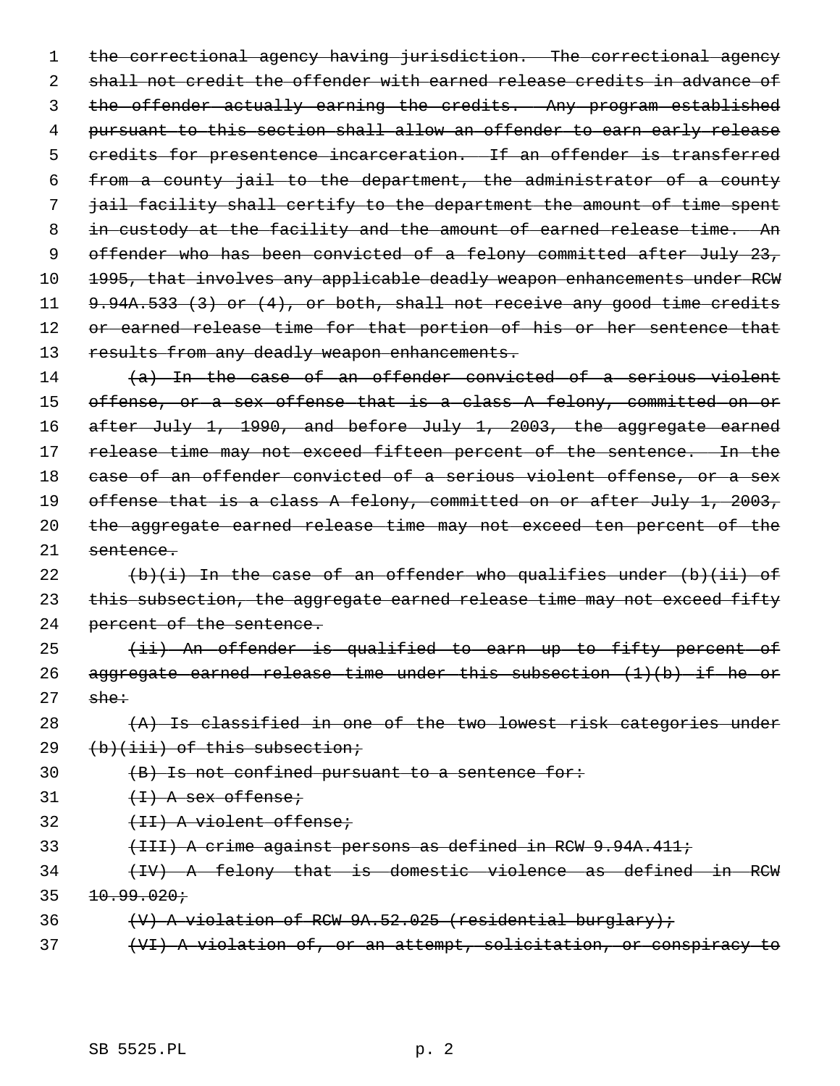1 the correctional agency having jurisdiction. The correctional agency 2 shall not credit the offender with earned release credits in advance of 3 the offender actually earning the credits. Any program established 4 pursuant to this section shall allow an offender to earn early release 5 credits for presentence incarceration. If an offender is transferred 6 from a county jail to the department, the administrator of a county 7 jail facility shall certify to the department the amount of time spent 8 in custody at the facility and the amount of earned release time. An 9 offender who has been convicted of a felony committed after July 23, 10 1995, that involves any applicable deadly weapon enhancements under RCW 11 9.94A.533 (3) or (4), or both, shall not receive any good time credits 12 or earned release time for that portion of his or her sentence that 13 results from any deadly weapon enhancements.

14 (a) In the case of an offender convicted of a serious violent 15 offense, or a sex offense that is a class A felony, committed on or 16 after July 1, 1990, and before July 1, 2003, the aggregate earned 17 release time may not exceed fifteen percent of the sentence. In the 18 case of an offender convicted of a serious violent offense, or a sex 19 offense that is a class A felony, committed on or after July 1, 2003, 20 the aggregate earned release time may not exceed ten percent of the 21 sentence.

22  $(b)(i)$  In the case of an offender who qualifies under  $(b)(ii)$  of 23 this subsection, the aggregate earned release time may not exceed fifty 24 percent of the sentence.

 $25$  (ii) An offender is qualified to earn up to fifty percent of 26 aggregate earned release time under this subsection  $(1)(b)$  if he or  $27$  she:

28  $(A)$  Is classified in one of the two lowest risk categories under 29 (b)(iii) of this subsection;

 $30$  (B) Is not confined pursuant to a sentence for:

 $31$   $(H)$  A sex offense;

32 (II) A violent offense;

- 33 (III) A crime against persons as defined in RCW 9.94A.411;
- 34 (IV) A felony that is domestic violence as defined in RCW  $35 + 10.99.020j$
- 36  $\forall$  +  $\forall$  +  $\forall$  +  $\forall$  +  $\forall$  +  $\forall$  +  $\forall$  +  $\forall$  +  $\forall$  +  $\forall$  +  $\forall$  +  $\forall$  +  $\forall$  +  $\forall$  +  $\forall$  +  $\forall$  +  $\forall$  +  $\forall$  +  $\forall$  +  $\forall$  +  $\forall$  +  $\forall$  +  $\forall$  +  $\forall$  +  $\forall$  +  $\forall$  +  $\forall$  +  $\forall$  +  $\forall$  +  $\forall$  +  $\forall$  +
- 37 (VI) A violation of, or an attempt, solicitation, or conspiracy to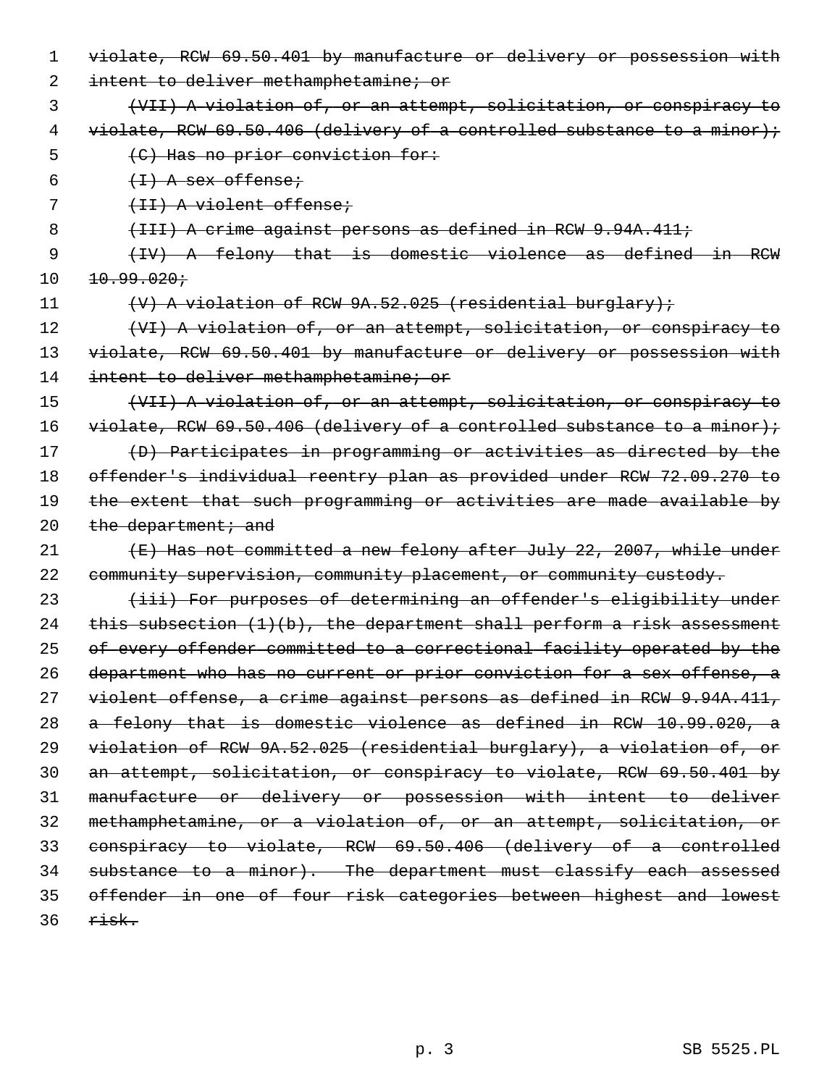1 violate, RCW 69.50.401 by manufacture or delivery or possession with

2 intent to deliver methamphetamine; or

 3 (VII) A violation of, or an attempt, solicitation, or conspiracy to 4 violate, RCW 69.50.406 (delivery of a controlled substance to a minor); 5 (C) Has no prior conviction for:

 $6 \leftarrow \left\{1\right\}$  A sex offense;

7 (II) A violent offense;

8 (III) A crime against persons as defined in RCW 9.94A.411;

 9 (IV) A felony that is domestic violence as defined in RCW  $10 \t 10.99.020j$ 

11 (V) A violation of RCW 9A.52.025 (residential burglary);

12 (VI) A violation of, or an attempt, solicitation, or conspiracy to 13 violate, RCW 69.50.401 by manufacture or delivery or possession with 14 intent to deliver methamphetamine; or

 (VII) A violation of, or an attempt, solicitation, or conspiracy to 16 violate, RCW 69.50.406 (delivery of a controlled substance to a minor); (D) Participates in programming or activities as directed by the offender's individual reentry plan as provided under RCW 72.09.270 to 19 the extent that such programming or activities are made available by  $the$  department; and

21  $\leftarrow$  (E) Has not committed a new felony after July 22, 2007, while under 22 community supervision, community placement, or community custody.

23 (iii) For purposes of determining an offender's eligibility under 24 this subsection  $(1)(b)$ , the department shall perform a risk assessment 25 of every offender committed to a correctional facility operated by the 26 department who has no current or prior conviction for a sex offense, a 27 violent offense, a crime against persons as defined in RCW 9.94A.411, 28 a felony that is domestic violence as defined in RCW 10.99.020, a 29 violation of RCW 9A.52.025 (residential burglary), a violation of, or 30 an attempt, solicitation, or conspiracy to violate, RCW 69.50.401 by 31 manufacture or delivery or possession with intent to deliver 32 methamphetamine, or a violation of, or an attempt, solicitation, or 33 conspiracy to violate, RCW 69.50.406 (delivery of a controlled 34 substance to a minor). The department must classify each assessed 35 offender in one of four risk categories between highest and lowest  $36$  risk.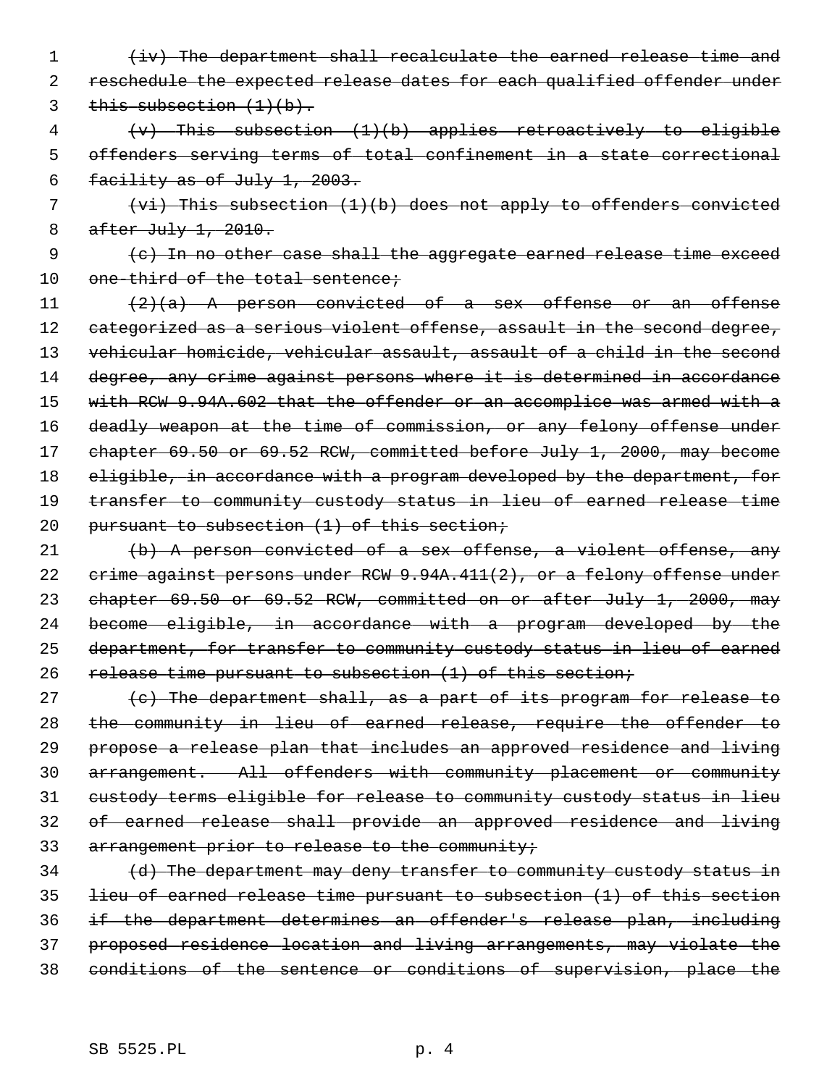1 (iv) The department shall recalculate the earned release time and 2 reschedule the expected release dates for each qualified offender under 3 this subsection  $(1)(b)$ .

 4 (v) This subsection (1)(b) applies retroactively to eligible 5 offenders serving terms of total confinement in a state correctional 6 facility as of July 1, 2003.

 7 (vi) This subsection (1)(b) does not apply to offenders convicted 8 after July 1, 2010.

 9 (c) In no other case shall the aggregate earned release time exceed 10 one-third of the total sentence;

 $11$  (2)(a) A person convicted of a sex offense or an offense 12 categorized as a serious violent offense, assault in the second degree, 13 vehicular homicide, vehicular assault, assault of a child in the second 14 degree, any crime against persons where it is determined in accordance 15 with RCW 9.94A.602 that the offender or an accomplice was armed with a 16 deadly weapon at the time of commission, or any felony offense under 17 chapter 69.50 or 69.52 RCW, committed before July 1, 2000, may become 18 eligible, in accordance with a program developed by the department, for 19 transfer to community custody status in lieu of earned release time 20 pursuant to subsection (1) of this section;

21  $(b)$  A person convicted of a sex offense, a violent offense, any 22 crime against persons under RCW 9.94A.411(2), or a felony offense under 23 chapter 69.50 or 69.52 RCW, committed on or after July 1, 2000, may 24 become eligible, in accordance with a program developed by the 25 department, for transfer to community custody status in lieu of earned 26 release time pursuant to subsection (1) of this section;

 $(e)$  The department shall, as a part of its program for release to the community in lieu of earned release, require the offender to propose a release plan that includes an approved residence and living arrangement. All offenders with community placement or community custody terms eligible for release to community custody status in lieu of earned release shall provide an approved residence and living 33 arrangement prior to release to the community;

 (d) The department may deny transfer to community custody status in lieu of earned release time pursuant to subsection (1) of this section if the department determines an offender's release plan, including proposed residence location and living arrangements, may violate the conditions of the sentence or conditions of supervision, place the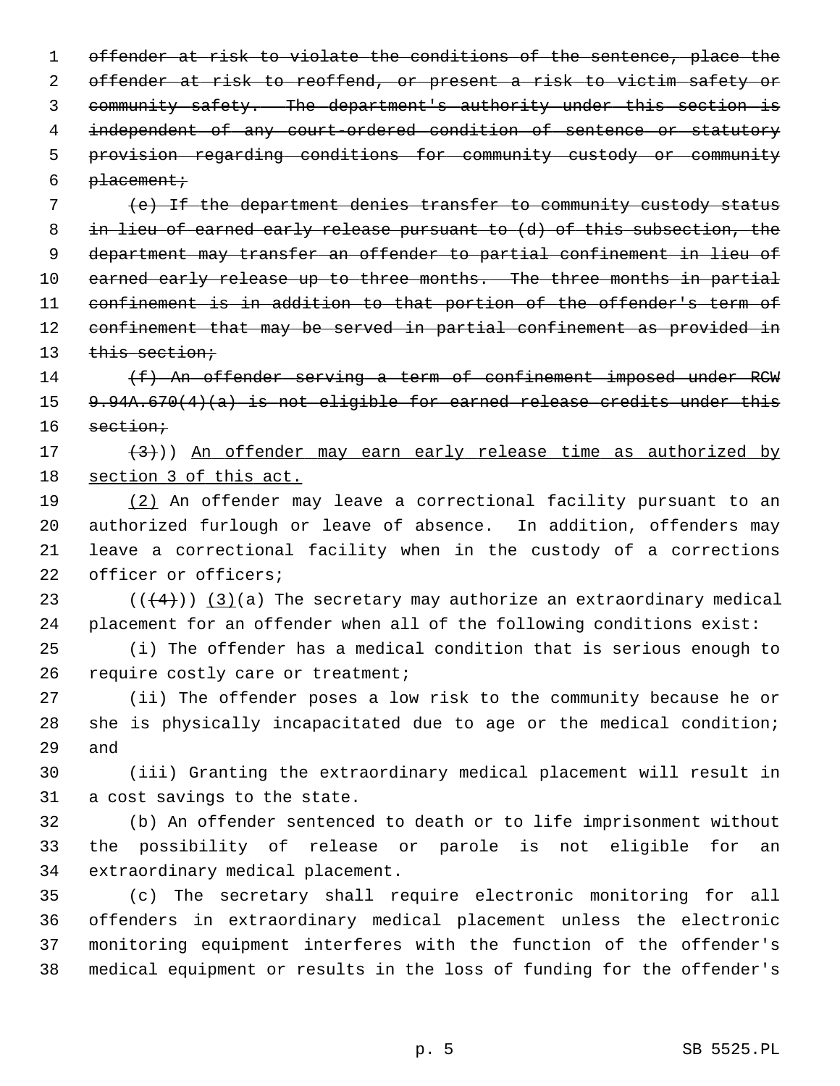1 offender at risk to violate the conditions of the sentence, place the 2 offender at risk to reoffend, or present a risk to victim safety or 3 community safety. The department's authority under this section is 4 independent of any court-ordered condition of sentence or statutory 5 provision regarding conditions for community custody or community 6  $placent:$ 

 (e) If the department denies transfer to community custody status in lieu of earned early release pursuant to (d) of this subsection, the department may transfer an offender to partial confinement in lieu of 10 earned early release up to three months. The three months in partial confinement is in addition to that portion of the offender's term of confinement that may be served in partial confinement as provided in 13 this section;

14 (f) An offender serving a term of confinement imposed under RCW 15 9.94A.670(4)(a) is not eligible for earned release credits under this 16 section;

17  $(3)$ )) An offender may earn early release time as authorized by 18 section 3 of this act.

19 (2) An offender may leave a correctional facility pursuant to an 20 authorized furlough or leave of absence. In addition, offenders may 21 leave a correctional facility when in the custody of a corrections 22 officer or officers;

23  $((+4))$   $(3)(a)$  The secretary may authorize an extraordinary medical 24 placement for an offender when all of the following conditions exist:

25 (i) The offender has a medical condition that is serious enough to 26 require costly care or treatment;

27 (ii) The offender poses a low risk to the community because he or 28 she is physically incapacitated due to age or the medical condition; 29 and

30 (iii) Granting the extraordinary medical placement will result in 31 a cost savings to the state.

32 (b) An offender sentenced to death or to life imprisonment without 33 the possibility of release or parole is not eligible for an 34 extraordinary medical placement.

35 (c) The secretary shall require electronic monitoring for all 36 offenders in extraordinary medical placement unless the electronic 37 monitoring equipment interferes with the function of the offender's 38 medical equipment or results in the loss of funding for the offender's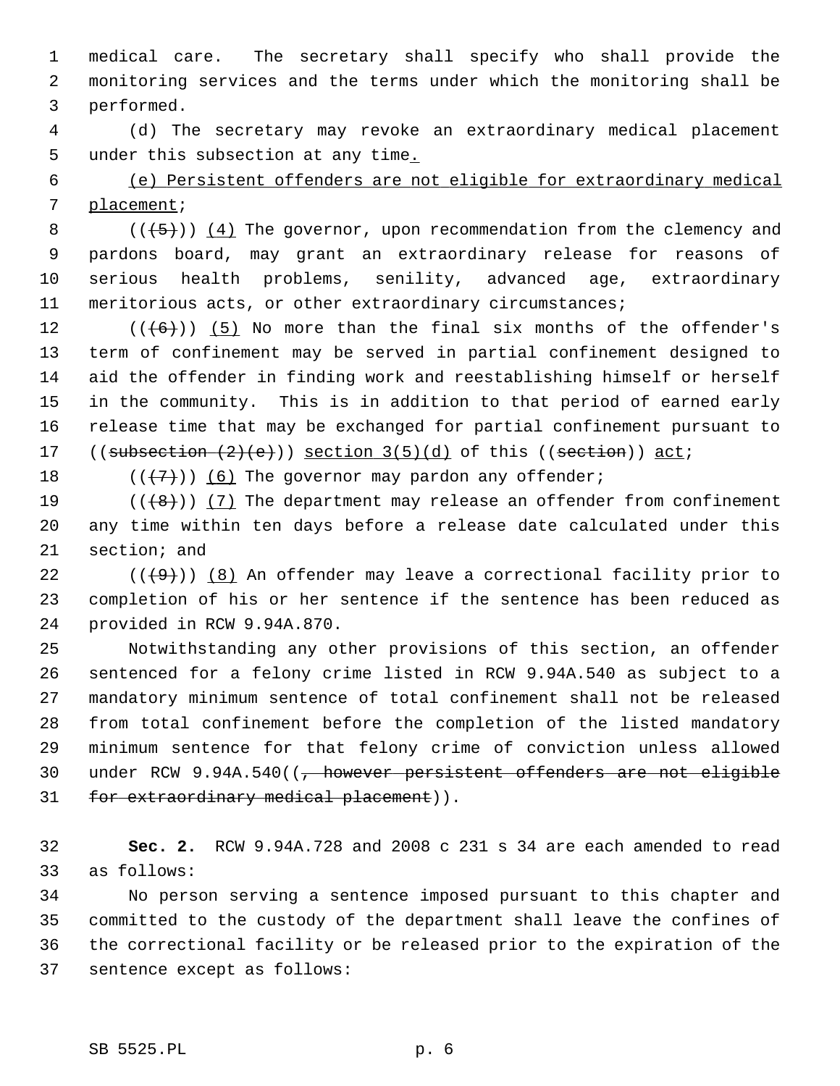1 medical care. The secretary shall specify who shall provide the 2 monitoring services and the terms under which the monitoring shall be 3 performed.

 4 (d) The secretary may revoke an extraordinary medical placement 5 under this subsection at any time.

 6 (e) Persistent offenders are not eligible for extraordinary medical 7 placement;

8 ( $(\overline{5})$ ) (4) The governor, upon recommendation from the clemency and 9 pardons board, may grant an extraordinary release for reasons of 10 serious health problems, senility, advanced age, extraordinary 11 meritorious acts, or other extraordinary circumstances;

12  $((\left\lbrace 6 \right\rbrace))$  (5) No more than the final six months of the offender's 13 term of confinement may be served in partial confinement designed to 14 aid the offender in finding work and reestablishing himself or herself 15 in the community. This is in addition to that period of earned early 16 release time that may be exchanged for partial confinement pursuant to 17 ((subsection  $(2)(e)$ )) section  $3(5)(d)$  of this ((section)) act;

18  $((\langle 7 \rangle)(6)$  The governor may pardon any offender;

19  $((+8))$   $(7)$  The department may release an offender from confinement 20 any time within ten days before a release date calculated under this 21 section; and

22  $((+9))$  (8) An offender may leave a correctional facility prior to 23 completion of his or her sentence if the sentence has been reduced as 24 provided in RCW 9.94A.870.

25 Notwithstanding any other provisions of this section, an offender 26 sentenced for a felony crime listed in RCW 9.94A.540 as subject to a 27 mandatory minimum sentence of total confinement shall not be released 28 from total confinement before the completion of the listed mandatory 29 minimum sentence for that felony crime of conviction unless allowed 30 under RCW 9.94A.540((<del>, however persistent offenders are not eligible</del> 31 for extraordinary medical placement)).

32 **Sec. 2.** RCW 9.94A.728 and 2008 c 231 s 34 are each amended to read 33 as follows:

34 No person serving a sentence imposed pursuant to this chapter and 35 committed to the custody of the department shall leave the confines of 36 the correctional facility or be released prior to the expiration of the 37 sentence except as follows: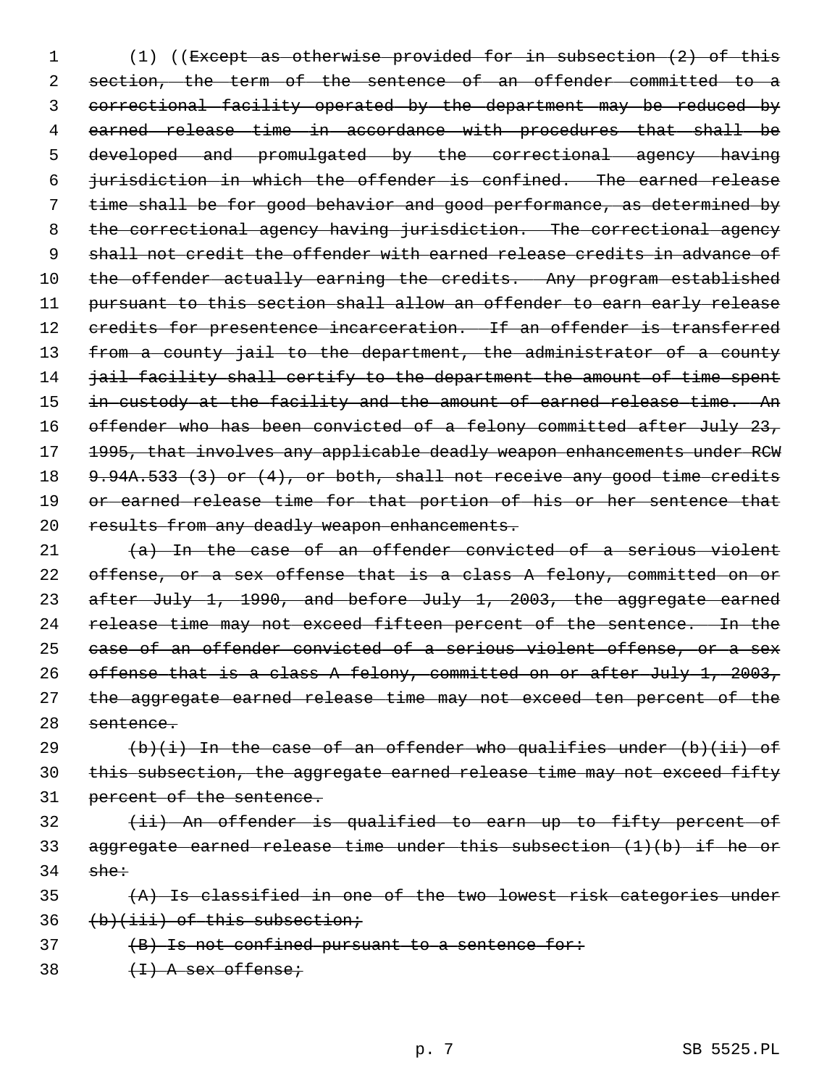1 (1) ((Except as otherwise provided for in subsection (2) of this 2 section, the term of the sentence of an offender committed to a 3 correctional facility operated by the department may be reduced by 4 earned release time in accordance with procedures that shall be 5 developed and promulgated by the correctional agency having 6 jurisdiction in which the offender is confined. The earned release 7 time shall be for good behavior and good performance, as determined by 8 the correctional agency having jurisdiction. The correctional agency 9 shall not credit the offender with earned release credits in advance of 10 the offender actually earning the credits. Any program established 11 pursuant to this section shall allow an offender to earn early release 12 credits for presentence incarceration. If an offender is transferred 13 from a county jail to the department, the administrator of a county 14 jail facility shall certify to the department the amount of time spent 15 in custody at the facility and the amount of earned release time. An 16 offender who has been convicted of a felony committed after July 23, 17 1995, that involves any applicable deadly weapon enhancements under RCW 18 9.94A.533 (3) or (4), or both, shall not receive any good time credits 19 or earned release time for that portion of his or her sentence that 20 results from any deadly weapon enhancements.

 $(a)$  In the case of an offender convicted of a serious violent offense, or a sex offense that is a class A felony, committed on or after July 1, 1990, and before July 1, 2003, the aggregate earned 24 release time may not exceed fifteen percent of the sentence. In the case of an offender convicted of a serious violent offense, or a sex offense that is a class A felony, committed on or after July 1, 2003, 27 the aggregate earned release time may not exceed ten percent of the sentence.

29  $(b)(i)$  In the case of an offender who qualifies under  $(b)(ii)$  of 30 this subsection, the aggregate earned release time may not exceed fifty 31 percent of the sentence.

32 (ii) An offender is qualified to earn up to fifty percent of 33 aggregate earned release time under this subsection (1)(b) if he or  $34$  she:

35 (A) Is classified in one of the two lowest risk categories under  $36$  (b)(iii) of this subsection;

 $37$  (B) Is not confined pursuant to a sentence for:

38  $(+1)$  A sex offense;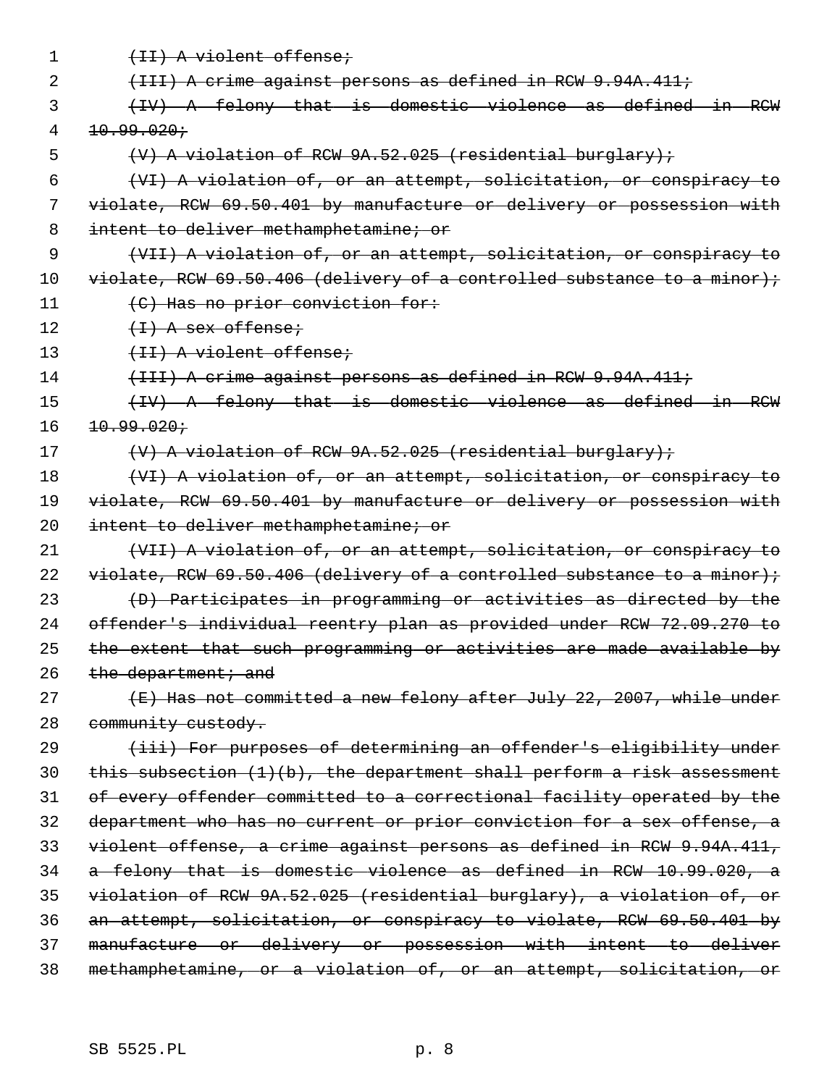| 1  | (II) A violent offense;                                                   |
|----|---------------------------------------------------------------------------|
| 2  | (III) A crime against persons as defined in RCW 9.94A.411;                |
| 3  | (IV) A felony that is domestic violence as defined in RCW                 |
| 4  | 10.99.020j                                                                |
| 5  | $(V)$ A violation of RCW $9A.52.025$ (residential burglary);              |
| 6  | (VI) A violation of, or an attempt, solicitation, or conspiracy to        |
| 7  | violate, RCW 69.50.401 by manufacture or delivery or possession with      |
| 8  | intent to deliver methamphetamine; or                                     |
| 9  | (VII) A violation of, or an attempt, solicitation, or conspiracy to       |
| 10 | $violet, RCW 69.50.406 (delively of a controlled substance to a minor);$  |
| 11 | (C) Has no prior conviction for:                                          |
| 12 | $(1)$ A sex offense;                                                      |
| 13 | (II) A violent offense;                                                   |
| 14 | (III) A crime against persons as defined in RCW 9.94A.411;                |
| 15 | (IV) A felony that is domestic violence as defined in RCW                 |
| 16 | 10.99.020:                                                                |
| 17 | $(V)$ A violation of RCW $9A.52.025$ (residential burglary);              |
| 18 | (VI) A violation of, or an attempt, solicitation, or conspiracy to        |
| 19 | violate, RCW 69.50.401 by manufacture or delivery or possession with      |
| 20 | intent to deliver methamphetamine; or                                     |
| 21 | (VII) A violation of, or an attempt, solicitation, or conspiracy to       |
| 22 | $violet, RCW 69.50.406 (delively of a controlled substance to a minor);$  |
| 23 | (D) Participates in programming or activities as directed by the          |
| 24 | offender's individual reentry plan as provided under RCW 72.09.270 to     |
| 25 | the extent that such programming or activities are made available by      |
| 26 | the department; and                                                       |
| 27 | (E) Has not committed a new felony after July 22, 2007, while under       |
| 28 | community custody.                                                        |
| 29 | (iii) For purposes of determining an offender's eligibility under         |
| 30 | this subsection $(1)(b)$ , the department shall perform a risk assessment |
| 31 | of every offender committed to a correctional facility operated by the    |
| 32 | department who has no current or prior conviction for a sex offense, a    |
| 33 | violent offense, a crime against persons as defined in RCW 9.94A.411,     |
| 34 | a felony that is domestic violence as defined in RCW 10.99.020, a         |
| 35 | violation of RCW 9A.52.025 (residential burglary), a violation of, or     |
| 36 | an attempt, solicitation, or conspiracy to violate, RCW 69.50.401 by      |
| 37 | manufacture or delivery or possession with intent to deliver              |
| 38 | methamphetamine, or a violation of, or an attempt, solicitation, or       |
|    |                                                                           |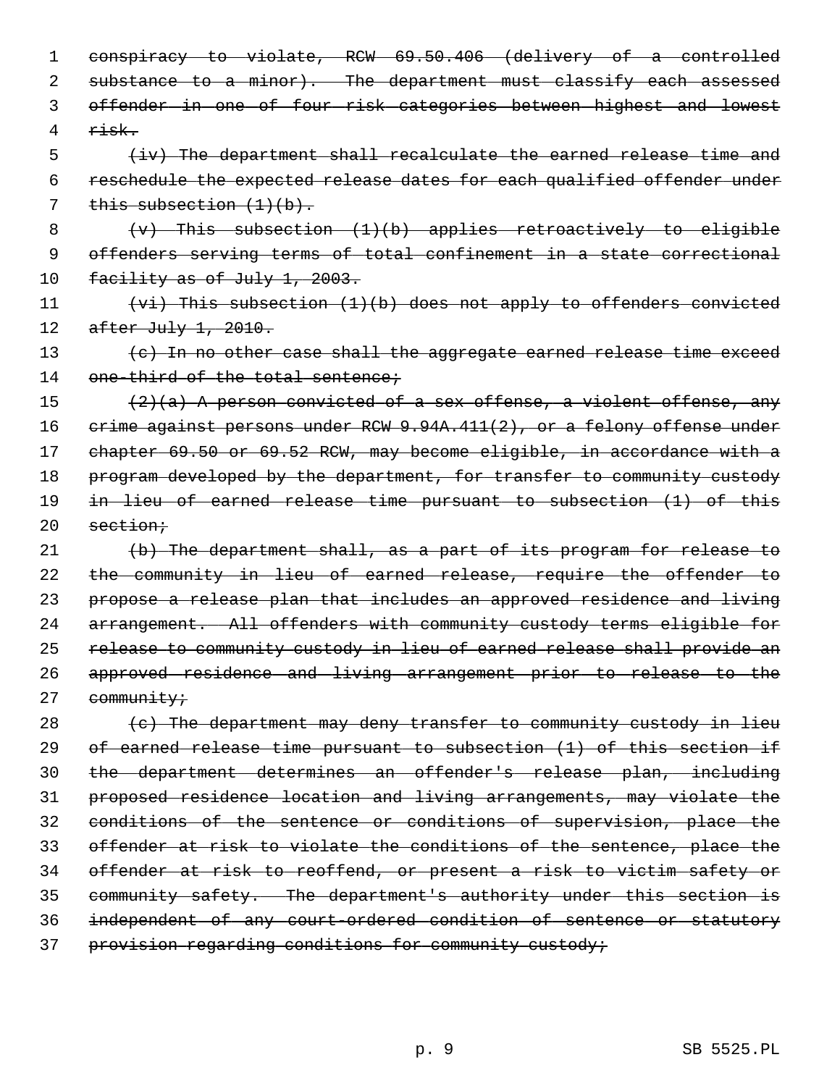| 1  | conspiracy to violate, RCW 69.50.406 (delivery of a controlled          |
|----|-------------------------------------------------------------------------|
| 2  | substance to a minor). The department must classify each assessed       |
| 3  | offender in one of four risk categories between highest and lowest      |
| 4  | $\rightarrow$ isk $\rightarrow$                                         |
| 5  | (iv) The department shall recalculate the earned release time and       |
| 6  | reschedule the expected release dates for each qualified offender under |
| 7  | this subsection $(1)(b)$ .                                              |
| 8  | $(v)$ This subsection $(1)(b)$ applies retroactively to eligible        |
| 9  | offenders serving terms of total confinement in a state correctional    |
| 10 | <u>facility as of July 1, 2003.</u>                                     |
| 11 | $(vi)$ This subsection (1)(b) does not apply to offenders convicted     |
| 12 | after July 1, 2010.                                                     |
| 13 | (c) In no other case shall the aggregate earned release time exceed     |
| 14 | one-third of the total sentence;                                        |
| 15 | $(2)(a)$ A person convicted of a sex offense, a violent offense, any    |
| 16 | erime against persons under RCW 9.94A.411(2), or a felony offense under |
| 17 | chapter 69.50 or 69.52 RCW, may become eligible, in accordance with a   |
| 18 | program developed by the department, for transfer to community custody  |
| 19 | in lieu of earned release time pursuant to subsection (1) of this       |
| 20 | section;                                                                |
| 21 | (b) The department shall, as a part of its program for release to       |
| 22 | the community in lieu of earned release, require the offender to        |
| 23 | propose a release plan that includes an approved residence and living   |
| 24 | arrangement. All offenders with community custody terms eligible for    |
| 25 | release to community custody in lieu of earned release shall provide an |
| 26 | approved residence and living arrangement prior to release to the       |
| 27 | community;                                                              |
| 28 | (c) The department may deny transfer to community custody in lieu       |
| 29 | of earned release time pursuant to subsection (1) of this section if    |
| 30 | the department determines an offender's release plan, including         |
| 31 | proposed residence location and living arrangements, may violate the    |
| 32 | conditions of the sentence or conditions of supervision, place the      |
| 33 | offender at risk to violate the conditions of the sentence, place the   |
| 34 | offender at risk to reoffend, or present a risk to victim safety or     |
| 35 | community safety. The department's authority under this section is      |
| 36 | independent of any court-ordered condition of sentence or statutory     |
| 37 | provision regarding conditions for community custody;                   |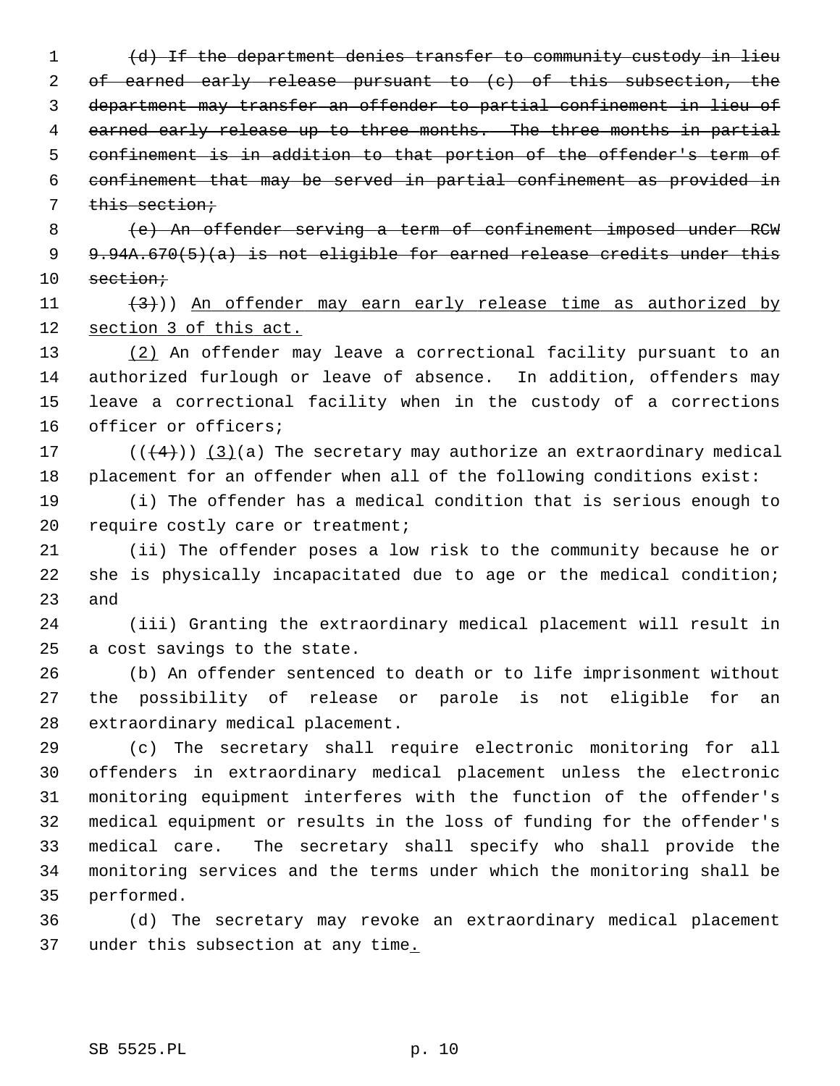(d) If the department denies transfer to community custody in lieu 2 of earned early release pursuant to (c) of this subsection, the department may transfer an offender to partial confinement in lieu of 4 earned early release up to three months. The three months in partial confinement is in addition to that portion of the offender's term of confinement that may be served in partial confinement as provided in this section;

 8 (e) An offender serving a term of confinement imposed under RCW 9 9.94A.670(5)(a) is not eligible for earned release credits under this 10 section;

11  $(3)$ )) An offender may earn early release time as authorized by 12 section 3 of this act.

13 (2) An offender may leave a correctional facility pursuant to an 14 authorized furlough or leave of absence. In addition, offenders may 15 leave a correctional facility when in the custody of a corrections 16 officer or officers;

17  $((+4))$   $(3)(a)$  The secretary may authorize an extraordinary medical 18 placement for an offender when all of the following conditions exist:

19 (i) The offender has a medical condition that is serious enough to 20 require costly care or treatment;

21 (ii) The offender poses a low risk to the community because he or 22 she is physically incapacitated due to age or the medical condition; 23 and

24 (iii) Granting the extraordinary medical placement will result in 25 a cost savings to the state.

26 (b) An offender sentenced to death or to life imprisonment without 27 the possibility of release or parole is not eligible for an 28 extraordinary medical placement.

29 (c) The secretary shall require electronic monitoring for all 30 offenders in extraordinary medical placement unless the electronic 31 monitoring equipment interferes with the function of the offender's 32 medical equipment or results in the loss of funding for the offender's 33 medical care. The secretary shall specify who shall provide the 34 monitoring services and the terms under which the monitoring shall be 35 performed.

36 (d) The secretary may revoke an extraordinary medical placement 37 under this subsection at any time.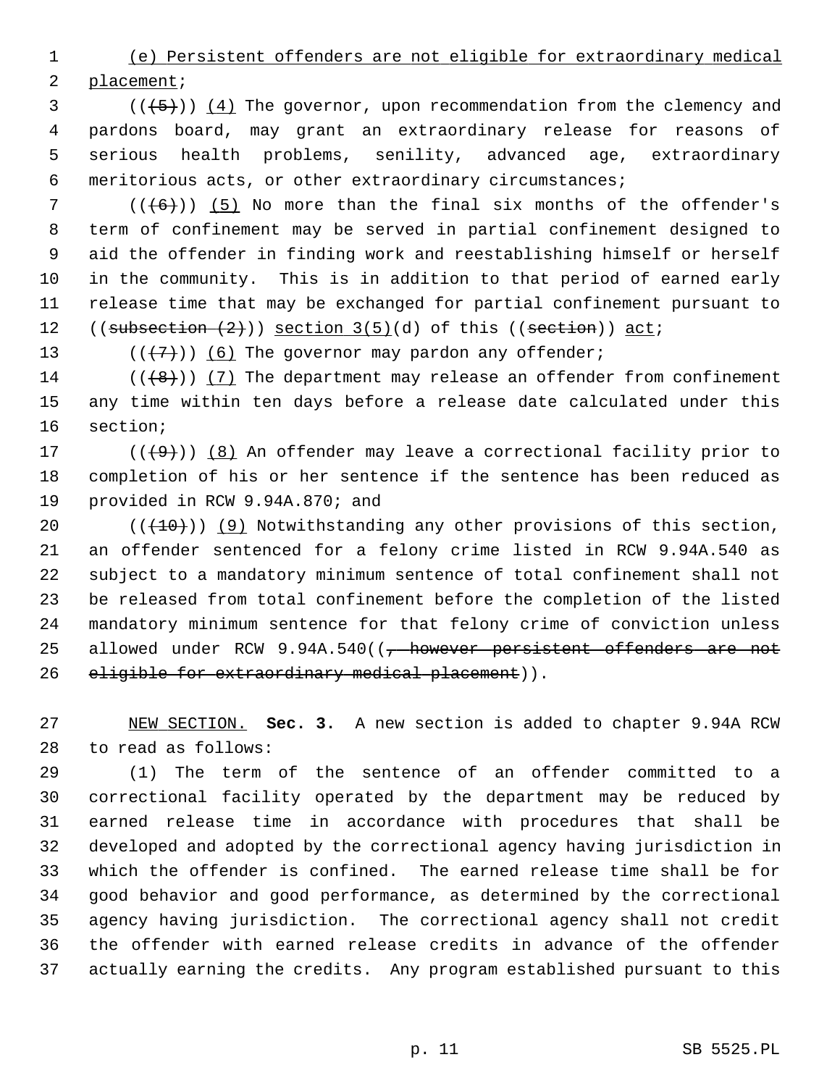1 (e) Persistent offenders are not eligible for extraordinary medical

2 placement;

 $(1, 5)$  ( $(4)$  The governor, upon recommendation from the clemency and 4 pardons board, may grant an extraordinary release for reasons of 5 serious health problems, senility, advanced age, extraordinary 6 meritorious acts, or other extraordinary circumstances;

 $7$  (( $(6)$ )) (5) No more than the final six months of the offender's 8 term of confinement may be served in partial confinement designed to 9 aid the offender in finding work and reestablishing himself or herself 10 in the community. This is in addition to that period of earned early 11 release time that may be exchanged for partial confinement pursuant to 12  $((\text{subsection} (2)))$  section  $3(5)(d)$  of this  $((\text{section}))$  act;

13 ( $(\overline{\langle 7 \rangle})$  (6) The governor may pardon any offender;

14  $((+8))$  (7) The department may release an offender from confinement 15 any time within ten days before a release date calculated under this 16 section;

17 ( $(\frac{49}{10})$  (8) An offender may leave a correctional facility prior to 18 completion of his or her sentence if the sentence has been reduced as 19 provided in RCW 9.94A.870; and

20  $((+10))$  (9) Notwithstanding any other provisions of this section, 21 an offender sentenced for a felony crime listed in RCW 9.94A.540 as 22 subject to a mandatory minimum sentence of total confinement shall not 23 be released from total confinement before the completion of the listed 24 mandatory minimum sentence for that felony crime of conviction unless 25 allowed under RCW 9.94A.540((<del>, however persistent offenders are not</del> 26 eligible for extraordinary medical placement)).

27 NEW SECTION. **Sec. 3.** A new section is added to chapter 9.94A RCW 28 to read as follows:

29 (1) The term of the sentence of an offender committed to a 30 correctional facility operated by the department may be reduced by 31 earned release time in accordance with procedures that shall be 32 developed and adopted by the correctional agency having jurisdiction in 33 which the offender is confined. The earned release time shall be for 34 good behavior and good performance, as determined by the correctional 35 agency having jurisdiction. The correctional agency shall not credit 36 the offender with earned release credits in advance of the offender 37 actually earning the credits. Any program established pursuant to this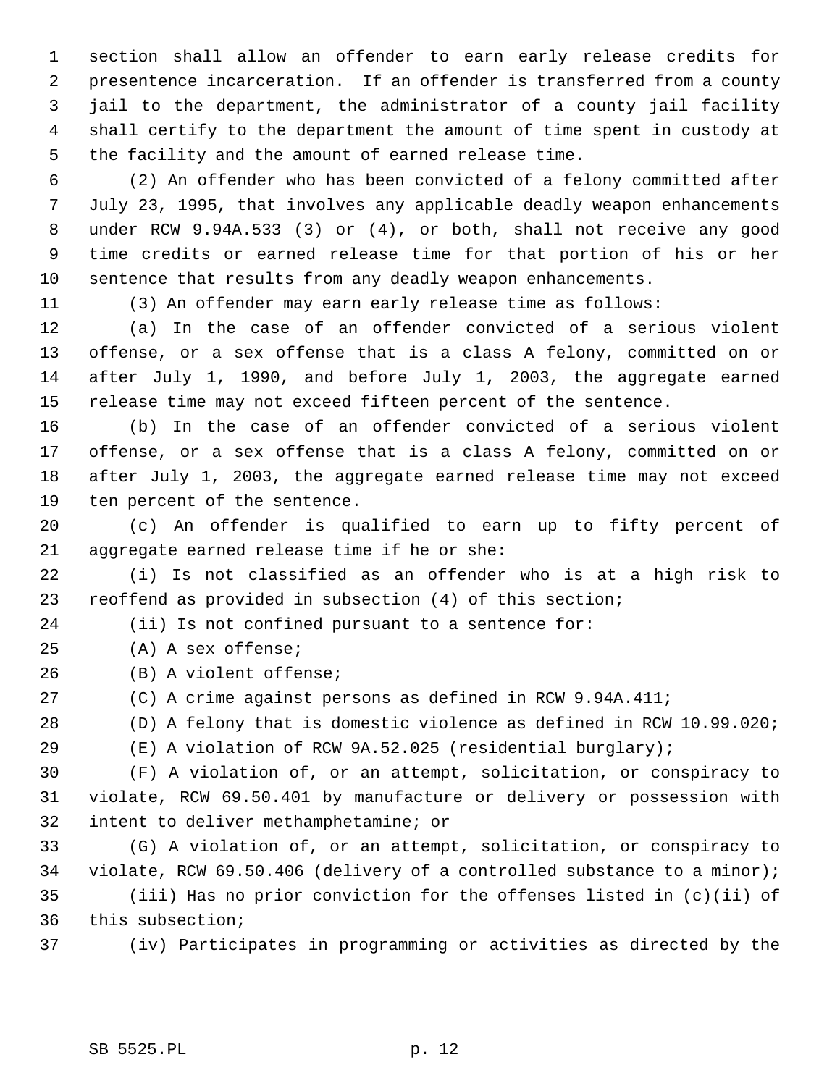1 section shall allow an offender to earn early release credits for 2 presentence incarceration. If an offender is transferred from a county 3 jail to the department, the administrator of a county jail facility 4 shall certify to the department the amount of time spent in custody at 5 the facility and the amount of earned release time.

 6 (2) An offender who has been convicted of a felony committed after 7 July 23, 1995, that involves any applicable deadly weapon enhancements 8 under RCW 9.94A.533 (3) or (4), or both, shall not receive any good 9 time credits or earned release time for that portion of his or her 10 sentence that results from any deadly weapon enhancements.

11 (3) An offender may earn early release time as follows:

12 (a) In the case of an offender convicted of a serious violent 13 offense, or a sex offense that is a class A felony, committed on or 14 after July 1, 1990, and before July 1, 2003, the aggregate earned 15 release time may not exceed fifteen percent of the sentence.

16 (b) In the case of an offender convicted of a serious violent 17 offense, or a sex offense that is a class A felony, committed on or 18 after July 1, 2003, the aggregate earned release time may not exceed 19 ten percent of the sentence.

20 (c) An offender is qualified to earn up to fifty percent of 21 aggregate earned release time if he or she:

22 (i) Is not classified as an offender who is at a high risk to 23 reoffend as provided in subsection (4) of this section;

24 (ii) Is not confined pursuant to a sentence for:

25 (A) A sex offense;

26 (B) A violent offense;

27 (C) A crime against persons as defined in RCW 9.94A.411;

28 (D) A felony that is domestic violence as defined in RCW 10.99.020;

29 (E) A violation of RCW 9A.52.025 (residential burglary);

30 (F) A violation of, or an attempt, solicitation, or conspiracy to 31 violate, RCW 69.50.401 by manufacture or delivery or possession with 32 intent to deliver methamphetamine; or

33 (G) A violation of, or an attempt, solicitation, or conspiracy to 34 violate, RCW 69.50.406 (delivery of a controlled substance to a minor); 35 (iii) Has no prior conviction for the offenses listed in (c)(ii) of 36 this subsection;

37 (iv) Participates in programming or activities as directed by the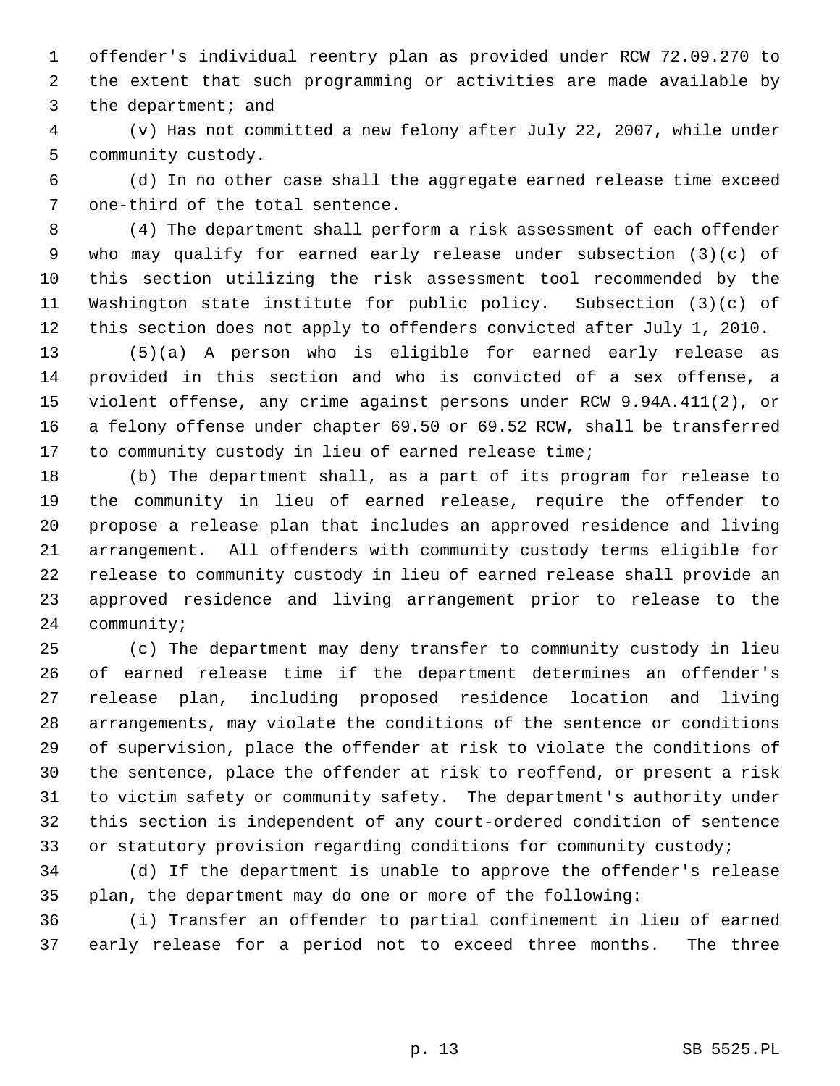1 offender's individual reentry plan as provided under RCW 72.09.270 to 2 the extent that such programming or activities are made available by 3 the department; and

 4 (v) Has not committed a new felony after July 22, 2007, while under 5 community custody.

 6 (d) In no other case shall the aggregate earned release time exceed 7 one-third of the total sentence.

 8 (4) The department shall perform a risk assessment of each offender 9 who may qualify for earned early release under subsection (3)(c) of 10 this section utilizing the risk assessment tool recommended by the 11 Washington state institute for public policy. Subsection (3)(c) of 12 this section does not apply to offenders convicted after July 1, 2010.

13 (5)(a) A person who is eligible for earned early release as 14 provided in this section and who is convicted of a sex offense, a 15 violent offense, any crime against persons under RCW 9.94A.411(2), or 16 a felony offense under chapter 69.50 or 69.52 RCW, shall be transferred 17 to community custody in lieu of earned release time;

18 (b) The department shall, as a part of its program for release to 19 the community in lieu of earned release, require the offender to 20 propose a release plan that includes an approved residence and living 21 arrangement. All offenders with community custody terms eligible for 22 release to community custody in lieu of earned release shall provide an 23 approved residence and living arrangement prior to release to the 24 community;

25 (c) The department may deny transfer to community custody in lieu 26 of earned release time if the department determines an offender's 27 release plan, including proposed residence location and living 28 arrangements, may violate the conditions of the sentence or conditions 29 of supervision, place the offender at risk to violate the conditions of 30 the sentence, place the offender at risk to reoffend, or present a risk 31 to victim safety or community safety. The department's authority under 32 this section is independent of any court-ordered condition of sentence 33 or statutory provision regarding conditions for community custody;

34 (d) If the department is unable to approve the offender's release 35 plan, the department may do one or more of the following:

36 (i) Transfer an offender to partial confinement in lieu of earned 37 early release for a period not to exceed three months. The three